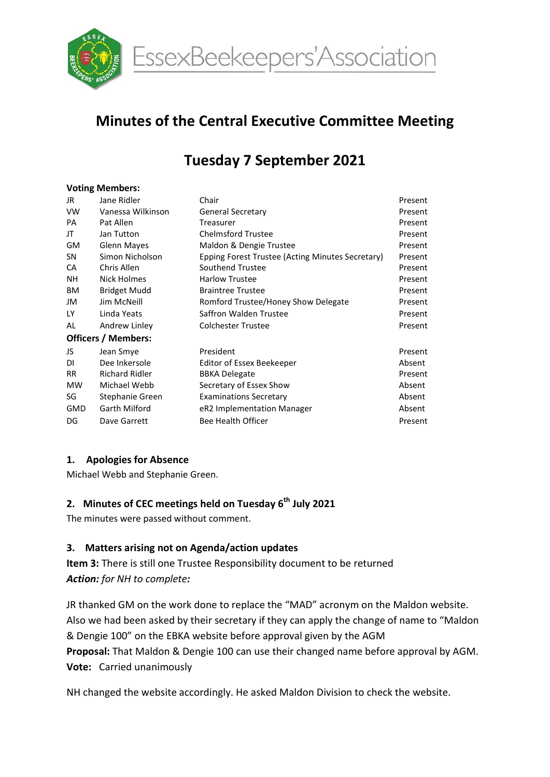

EssexBeekeepers'Association

# Minutes of the Central Executive Committee Meeting

# Tuesday 7 September 2021

#### Voting Members:

| JR                         | Jane Ridler           | Chair                                            | Present |  |  |  |  |
|----------------------------|-----------------------|--------------------------------------------------|---------|--|--|--|--|
| <b>VW</b>                  | Vanessa Wilkinson     | <b>General Secretary</b>                         | Present |  |  |  |  |
| PA                         | Pat Allen             | Treasurer                                        | Present |  |  |  |  |
| JT                         | Jan Tutton            | <b>Chelmsford Trustee</b>                        | Present |  |  |  |  |
| <b>GM</b>                  | <b>Glenn Mayes</b>    | Maldon & Dengie Trustee                          | Present |  |  |  |  |
| SΝ                         | Simon Nicholson       | Epping Forest Trustee (Acting Minutes Secretary) | Present |  |  |  |  |
| CA                         | Chris Allen           | Southend Trustee                                 | Present |  |  |  |  |
| NH.                        | Nick Holmes           | <b>Harlow Trustee</b>                            | Present |  |  |  |  |
| ΒM                         | <b>Bridget Mudd</b>   | <b>Braintree Trustee</b>                         | Present |  |  |  |  |
| JM                         | Jim McNeill           | Romford Trustee/Honey Show Delegate              | Present |  |  |  |  |
| LY                         | Linda Yeats           | Saffron Walden Trustee                           | Present |  |  |  |  |
| AL                         | Andrew Linley         | <b>Colchester Trustee</b>                        | Present |  |  |  |  |
| <b>Officers / Members:</b> |                       |                                                  |         |  |  |  |  |
| JS                         | Jean Smye             | President                                        | Present |  |  |  |  |
| DI                         | Dee Inkersole         | Editor of Essex Beekeeper                        | Absent  |  |  |  |  |
| RR.                        | <b>Richard Ridler</b> | <b>BBKA Delegate</b>                             | Present |  |  |  |  |
| MW                         | Michael Webb          | Secretary of Essex Show                          | Absent  |  |  |  |  |
| SG                         | Stephanie Green       | <b>Examinations Secretary</b>                    | Absent  |  |  |  |  |
| <b>GMD</b>                 | Garth Milford         | eR2 Implementation Manager                       | Absent  |  |  |  |  |
| DG                         | Dave Garrett          | Bee Health Officer                               | Present |  |  |  |  |
|                            |                       |                                                  |         |  |  |  |  |

# 1. Apologies for Absence

Michael Webb and Stephanie Green.

### 2. Minutes of CEC meetings held on Tuesday 6<sup>th</sup> July 2021

The minutes were passed without comment.

#### 3. Matters arising not on Agenda/action updates

Item 3: There is still one Trustee Responsibility document to be returned Action: for NH to complete:

JR thanked GM on the work done to replace the "MAD" acronym on the Maldon website. Also we had been asked by their secretary if they can apply the change of name to "Maldon & Dengie 100" on the EBKA website before approval given by the AGM Proposal: That Maldon & Dengie 100 can use their changed name before approval by AGM. Vote: Carried unanimously

NH changed the website accordingly. He asked Maldon Division to check the website.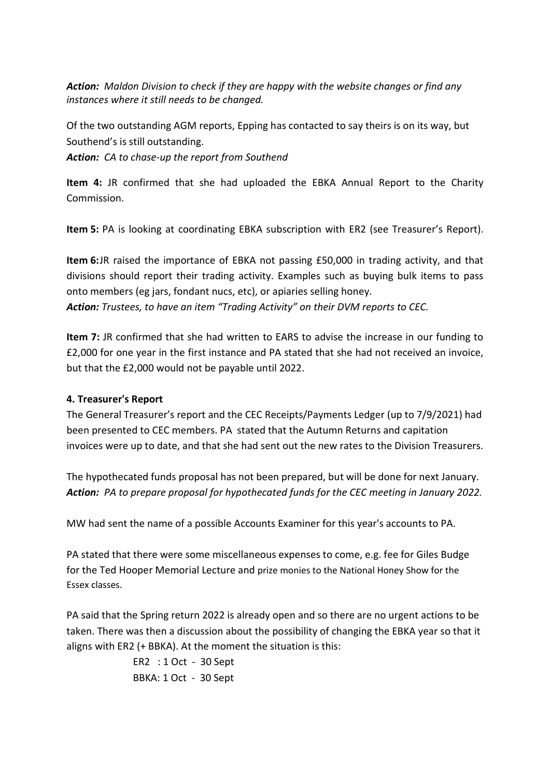Action: Maldon Division to check if they are happy with the website changes or find any instances where it still needs to be changed.

Of the two outstanding AGM reports, Epping has contacted to say theirs is on its way, but Southend's is still outstanding.

Action: CA to chase-up the report from Southend

Item 4: JR confirmed that she had uploaded the EBKA Annual Report to the Charity Commission.

Item 5: PA is looking at coordinating EBKA subscription with ER2 (see Treasurer's Report).

Item 6: JR raised the importance of EBKA not passing £50,000 in trading activity, and that divisions should report their trading activity. Examples such as buying bulk items to pass onto members (eg jars, fondant nucs, etc), or apiaries selling honey. Action: Trustees, to have an item "Trading Activity" on their DVM reports to CEC.

Item 7: JR confirmed that she had written to EARS to advise the increase in our funding to £2,000 for one year in the first instance and PA stated that she had not received an invoice, but that the £2,000 would not be payable until 2022.

# 4. Treasurer's Report

The General Treasurer's report and the CEC Receipts/Payments Ledger (up to 7/9/2021) had been presented to CEC members. PA stated that the Autumn Returns and capitation invoices were up to date, and that she had sent out the new rates to the Division Treasurers.

The hypothecated funds proposal has not been prepared, but will be done for next January. Action: PA to prepare proposal for hypothecated funds for the CEC meeting in January 2022.

MW had sent the name of a possible Accounts Examiner for this year's accounts to PA.

PA stated that there were some miscellaneous expenses to come, e.g. fee for Giles Budge for the Ted Hooper Memorial Lecture and prize monies to the National Honey Show for the Essex classes.

PA said that the Spring return 2022 is already open and so there are no urgent actions to be taken. There was then a discussion about the possibility of changing the EBKA year so that it aligns with ER2 (+ BBKA). At the moment the situation is this:

> ER2 : 1 Oct - 30 Sept BBKA: 1 Oct - 30 Sept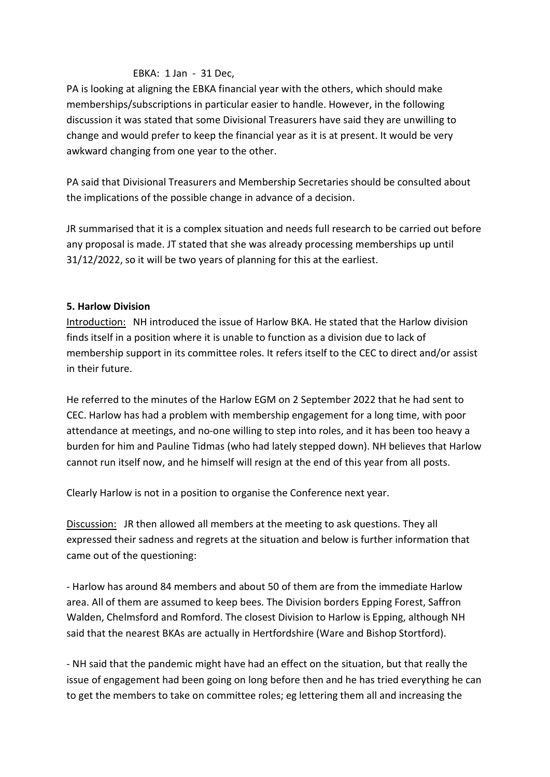### EBKA: 1 Jan - 31 Dec,

PA is looking at aligning the EBKA financial year with the others, which should make memberships/subscriptions in particular easier to handle. However, in the following discussion it was stated that some Divisional Treasurers have said they are unwilling to change and would prefer to keep the financial year as it is at present. It would be very awkward changing from one year to the other.

PA said that Divisional Treasurers and Membership Secretaries should be consulted about the implications of the possible change in advance of a decision.

JR summarised that it is a complex situation and needs full research to be carried out before any proposal is made. JT stated that she was already processing memberships up until 31/12/2022, so it will be two years of planning for this at the earliest.

#### 5. Harlow Division

Introduction: NH introduced the issue of Harlow BKA. He stated that the Harlow division finds itself in a position where it is unable to function as a division due to lack of membership support in its committee roles. It refers itself to the CEC to direct and/or assist in their future.

He referred to the minutes of the Harlow EGM on 2 September 2022 that he had sent to CEC. Harlow has had a problem with membership engagement for a long time, with poor attendance at meetings, and no-one willing to step into roles, and it has been too heavy a burden for him and Pauline Tidmas (who had lately stepped down). NH believes that Harlow cannot run itself now, and he himself will resign at the end of this year from all posts.

Clearly Harlow is not in a position to organise the Conference next year.

Discussion: JR then allowed all members at the meeting to ask questions. They all expressed their sadness and regrets at the situation and below is further information that came out of the questioning:

- Harlow has around 84 members and about 50 of them are from the immediate Harlow area. All of them are assumed to keep bees. The Division borders Epping Forest, Saffron Walden, Chelmsford and Romford. The closest Division to Harlow is Epping, although NH said that the nearest BKAs are actually in Hertfordshire (Ware and Bishop Stortford).

- NH said that the pandemic might have had an effect on the situation, but that really the issue of engagement had been going on long before then and he has tried everything he can to get the members to take on committee roles; eg lettering them all and increasing the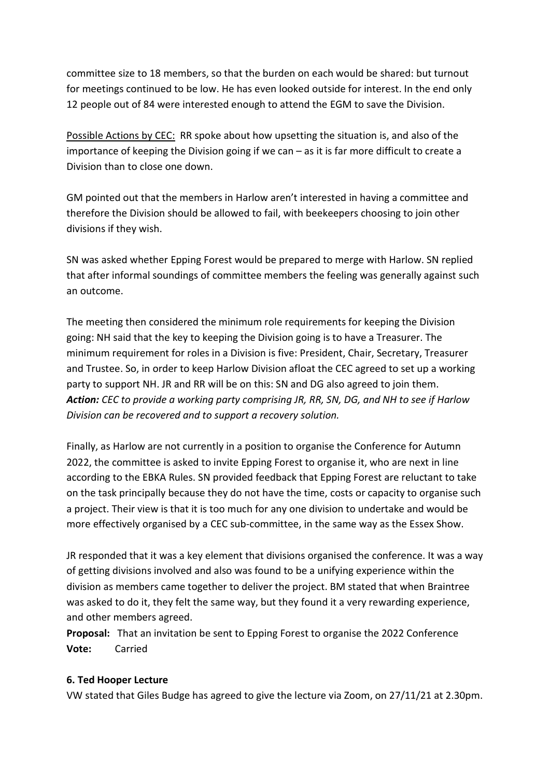committee size to 18 members, so that the burden on each would be shared: but turnout for meetings continued to be low. He has even looked outside for interest. In the end only 12 people out of 84 were interested enough to attend the EGM to save the Division.

Possible Actions by CEC: RR spoke about how upsetting the situation is, and also of the importance of keeping the Division going if we can – as it is far more difficult to create a Division than to close one down.

GM pointed out that the members in Harlow aren't interested in having a committee and therefore the Division should be allowed to fail, with beekeepers choosing to join other divisions if they wish.

SN was asked whether Epping Forest would be prepared to merge with Harlow. SN replied that after informal soundings of committee members the feeling was generally against such an outcome.

The meeting then considered the minimum role requirements for keeping the Division going: NH said that the key to keeping the Division going is to have a Treasurer. The minimum requirement for roles in a Division is five: President, Chair, Secretary, Treasurer and Trustee. So, in order to keep Harlow Division afloat the CEC agreed to set up a working party to support NH. JR and RR will be on this: SN and DG also agreed to join them. Action: CEC to provide a working party comprising JR, RR, SN, DG, and NH to see if Harlow Division can be recovered and to support a recovery solution.

Finally, as Harlow are not currently in a position to organise the Conference for Autumn 2022, the committee is asked to invite Epping Forest to organise it, who are next in line according to the EBKA Rules. SN provided feedback that Epping Forest are reluctant to take on the task principally because they do not have the time, costs or capacity to organise such a project. Their view is that it is too much for any one division to undertake and would be more effectively organised by a CEC sub-committee, in the same way as the Essex Show.

JR responded that it was a key element that divisions organised the conference. It was a way of getting divisions involved and also was found to be a unifying experience within the division as members came together to deliver the project. BM stated that when Braintree was asked to do it, they felt the same way, but they found it a very rewarding experience, and other members agreed.

Proposal: That an invitation be sent to Epping Forest to organise the 2022 Conference Vote: Carried

#### 6. Ted Hooper Lecture

VW stated that Giles Budge has agreed to give the lecture via Zoom, on 27/11/21 at 2.30pm.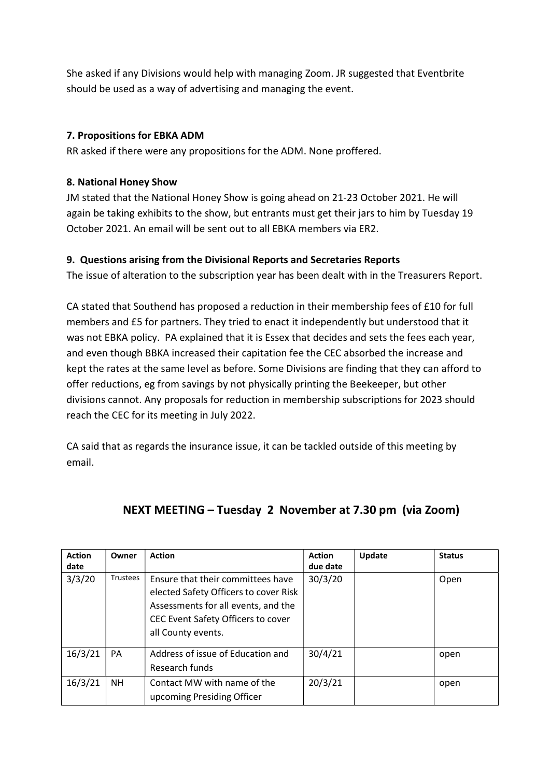She asked if any Divisions would help with managing Zoom. JR suggested that Eventbrite should be used as a way of advertising and managing the event.

# 7. Propositions for EBKA ADM

RR asked if there were any propositions for the ADM. None proffered.

#### 8. National Honey Show

JM stated that the National Honey Show is going ahead on 21-23 October 2021. He will again be taking exhibits to the show, but entrants must get their jars to him by Tuesday 19 October 2021. An email will be sent out to all EBKA members via ER2.

#### 9. Questions arising from the Divisional Reports and Secretaries Reports

The issue of alteration to the subscription year has been dealt with in the Treasurers Report.

CA stated that Southend has proposed a reduction in their membership fees of £10 for full members and £5 for partners. They tried to enact it independently but understood that it was not EBKA policy. PA explained that it is Essex that decides and sets the fees each year, and even though BBKA increased their capitation fee the CEC absorbed the increase and kept the rates at the same level as before. Some Divisions are finding that they can afford to offer reductions, eg from savings by not physically printing the Beekeeper, but other divisions cannot. Any proposals for reduction in membership subscriptions for 2023 should reach the CEC for its meeting in July 2022.

CA said that as regards the insurance issue, it can be tackled outside of this meeting by email.

| <b>Action</b> | Owner    | <b>Action</b>                                                                                                                                                                 | <b>Action</b> | <b>Update</b> | <b>Status</b> |
|---------------|----------|-------------------------------------------------------------------------------------------------------------------------------------------------------------------------------|---------------|---------------|---------------|
| date          |          |                                                                                                                                                                               | due date      |               |               |
| 3/3/20        | Trustees | Ensure that their committees have<br>elected Safety Officers to cover Risk<br>Assessments for all events, and the<br>CEC Event Safety Officers to cover<br>all County events. | 30/3/20       |               | Open          |
| 16/3/21       | PA       | Address of issue of Education and<br>Research funds                                                                                                                           | 30/4/21       |               | open          |
| 16/3/21       | NH.      | Contact MW with name of the<br>upcoming Presiding Officer                                                                                                                     | 20/3/21       |               | open          |

# NEXT MEETING – Tuesday 2 November at 7.30 pm (via Zoom)